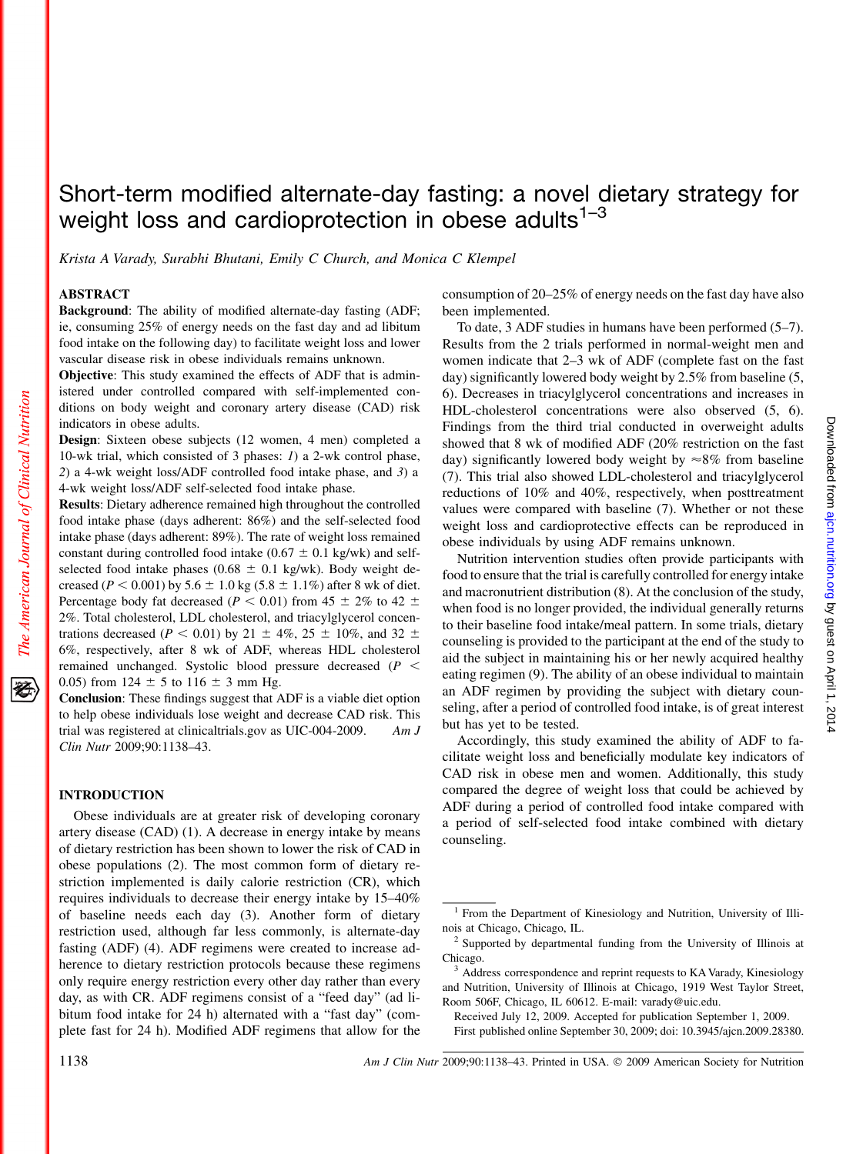# Short-term modified alternate-day fasting: a novel dietary strategy for weight loss and cardioprotection in obese adults $1-3$

Krista A Varady, Surabhi Bhutani, Emily C Church, and Monica C Klempel

# ABSTRACT

The American Journal of Clinical Nutrition

移

Background: The ability of modified alternate-day fasting (ADF; ie, consuming 25% of energy needs on the fast day and ad libitum food intake on the following day) to facilitate weight loss and lower vascular disease risk in obese individuals remains unknown.

Objective: This study examined the effects of ADF that is administered under controlled compared with self-implemented conditions on body weight and coronary artery disease (CAD) risk indicators in obese adults.

Design: Sixteen obese subjects (12 women, 4 men) completed a 10-wk trial, which consisted of 3 phases: 1) a 2-wk control phase, 2) a 4-wk weight loss/ADF controlled food intake phase, and 3) a 4-wk weight loss/ADF self-selected food intake phase.

Results: Dietary adherence remained high throughout the controlled food intake phase (days adherent: 86%) and the self-selected food intake phase (days adherent: 89%). The rate of weight loss remained constant during controlled food intake ( $0.67 \pm 0.1$  kg/wk) and selfselected food intake phases (0.68  $\pm$  0.1 kg/wk). Body weight decreased ( $P < 0.001$ ) by  $5.6 \pm 1.0$  kg ( $5.8 \pm 1.1\%$ ) after 8 wk of diet. Percentage body fat decreased ( $P < 0.01$ ) from 45  $\pm$  2% to 42  $\pm$ 2%. Total cholesterol, LDL cholesterol, and triacylglycerol concentrations decreased ( $P < 0.01$ ) by 21  $\pm$  4%, 25  $\pm$  10%, and 32  $\pm$ 6%, respectively, after 8 wk of ADF, whereas HDL cholesterol remained unchanged. Systolic blood pressure decreased  $(P <$ 0.05) from 124  $\pm$  5 to 116  $\pm$  3 mm Hg.

Conclusion: These findings suggest that ADF is a viable diet option to help obese individuals lose weight and decrease CAD risk. This trial was registered at clinicaltrials.gov as UIC-004-2009. Am J Clin Nutr 2009;90:1138–43.

# INTRODUCTION

Obese individuals are at greater risk of developing coronary artery disease (CAD) (1). A decrease in energy intake by means of dietary restriction has been shown to lower the risk of CAD in obese populations (2). The most common form of dietary restriction implemented is daily calorie restriction (CR), which requires individuals to decrease their energy intake by 15–40% of baseline needs each day (3). Another form of dietary restriction used, although far less commonly, is alternate-day fasting (ADF) (4). ADF regimens were created to increase adherence to dietary restriction protocols because these regimens only require energy restriction every other day rather than every day, as with CR. ADF regimens consist of a "feed day" (ad libitum food intake for 24 h) alternated with a "fast day" (complete fast for 24 h). Modified ADF regimens that allow for the consumption of 20–25% of energy needs on the fast day have also been implemented.

To date, 3 ADF studies in humans have been performed (5–7). Results from the 2 trials performed in normal-weight men and women indicate that 2–3 wk of ADF (complete fast on the fast day) significantly lowered body weight by 2.5% from baseline (5, 6). Decreases in triacylglycerol concentrations and increases in HDL-cholesterol concentrations were also observed (5, 6). Findings from the third trial conducted in overweight adults showed that 8 wk of modified ADF (20% restriction on the fast day) significantly lowered body weight by  $\approx 8\%$  from baseline (7). This trial also showed LDL-cholesterol and triacylglycerol reductions of 10% and 40%, respectively, when posttreatment values were compared with baseline (7). Whether or not these weight loss and cardioprotective effects can be reproduced in obese individuals by using ADF remains unknown.

Nutrition intervention studies often provide participants with food to ensure that the trial is carefully controlled for energy intake and macronutrient distribution (8). At the conclusion of the study, when food is no longer provided, the individual generally returns to their baseline food intake/meal pattern. In some trials, dietary counseling is provided to the participant at the end of the study to aid the subject in maintaining his or her newly acquired healthy eating regimen (9). The ability of an obese individual to maintain an ADF regimen by providing the subject with dietary counseling, after a period of controlled food intake, is of great interest but has yet to be tested.

Accordingly, this study examined the ability of ADF to facilitate weight loss and beneficially modulate key indicators of CAD risk in obese men and women. Additionally, this study compared the degree of weight loss that could be achieved by ADF during a period of controlled food intake compared with a period of self-selected food intake combined with dietary counseling.

<sup>1</sup> From the Department of Kinesiology and Nutrition, University of Illinois at Chicago, Chicago, IL.<br><sup>2</sup> Supported by departmental funding from the University of Illinois at

Chicago.

<sup>3</sup> Address correspondence and reprint requests to KA Varady, Kinesiology and Nutrition, University of Illinois at Chicago, 1919 West Taylor Street, Room 506F, Chicago, IL 60612. E-mail: varady@uic.edu.

Received July 12, 2009. Accepted for publication September 1, 2009.

First published online September 30, 2009; doi: 10.3945/ajcn.2009.28380.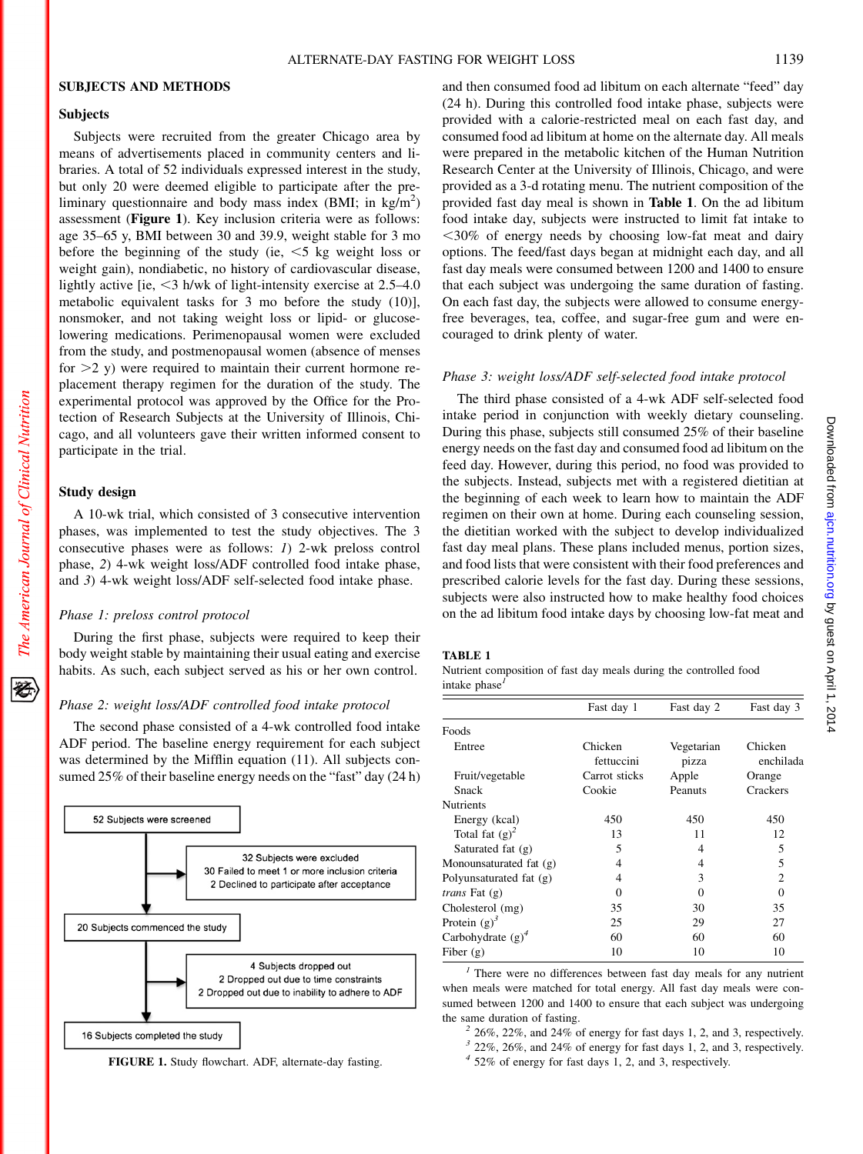## SUBJECTS AND METHODS

# Subjects

Subjects were recruited from the greater Chicago area by means of advertisements placed in community centers and libraries. A total of 52 individuals expressed interest in the study, but only 20 were deemed eligible to participate after the preliminary questionnaire and body mass index (BMI; in kg/m<sup>2</sup>) assessment (Figure 1). Key inclusion criteria were as follows: age 35–65 y, BMI between 30 and 39.9, weight stable for 3 mo before the beginning of the study (ie,  $\leq$ 5 kg weight loss or weight gain), nondiabetic, no history of cardiovascular disease, lightly active [ie,  $\leq$ 3 h/wk of light-intensity exercise at 2.5–4.0 metabolic equivalent tasks for 3 mo before the study (10)], nonsmoker, and not taking weight loss or lipid- or glucoselowering medications. Perimenopausal women were excluded from the study, and postmenopausal women (absence of menses for  $>2$  y) were required to maintain their current hormone replacement therapy regimen for the duration of the study. The experimental protocol was approved by the Office for the Protection of Research Subjects at the University of Illinois, Chicago, and all volunteers gave their written informed consent to participate in the trial.

## Study design

A 10-wk trial, which consisted of 3 consecutive intervention phases, was implemented to test the study objectives. The 3 consecutive phases were as follows: 1) 2-wk preloss control phase, 2) 4-wk weight loss/ADF controlled food intake phase, and 3) 4-wk weight loss/ADF self-selected food intake phase.

#### Phase 1: preloss control protocol

During the first phase, subjects were required to keep their body weight stable by maintaining their usual eating and exercise habits. As such, each subject served as his or her own control.

# Phase 2: weight loss/ADF controlled food intake protocol

The second phase consisted of a 4-wk controlled food intake ADF period. The baseline energy requirement for each subject was determined by the Mifflin equation (11). All subjects consumed 25% of their baseline energy needs on the "fast" day (24 h)



FIGURE 1. Study flowchart. ADF, alternate-day fasting.

and then consumed food ad libitum on each alternate "feed" day (24 h). During this controlled food intake phase, subjects were provided with a calorie-restricted meal on each fast day, and consumed food ad libitum at home on the alternate day. All meals were prepared in the metabolic kitchen of the Human Nutrition Research Center at the University of Illinois, Chicago, and were provided as a 3-d rotating menu. The nutrient composition of the provided fast day meal is shown in Table 1. On the ad libitum food intake day, subjects were instructed to limit fat intake to  $<$ 30% of energy needs by choosing low-fat meat and dairy options. The feed/fast days began at midnight each day, and all fast day meals were consumed between 1200 and 1400 to ensure that each subject was undergoing the same duration of fasting. On each fast day, the subjects were allowed to consume energyfree beverages, tea, coffee, and sugar-free gum and were encouraged to drink plenty of water.

## Phase 3: weight loss/ADF self-selected food intake protocol

The third phase consisted of a 4-wk ADF self-selected food intake period in conjunction with weekly dietary counseling. During this phase, subjects still consumed 25% of their baseline energy needs on the fast day and consumed food ad libitum on the feed day. However, during this period, no food was provided to the subjects. Instead, subjects met with a registered dietitian at the beginning of each week to learn how to maintain the ADF regimen on their own at home. During each counseling session, the dietitian worked with the subject to develop individualized fast day meal plans. These plans included menus, portion sizes, and food lists that were consistent with their food preferences and prescribed calorie levels for the fast day. During these sessions, subjects were also instructed how to make healthy food choices on the ad libitum food intake days by choosing low-fat meat and

# TABLE 1

Nutrient composition of fast day meals during the controlled food intake phase $<sup>1</sup>$ </sup>

|                         | Fast day 1            | Fast day 2          | Fast day 3           |
|-------------------------|-----------------------|---------------------|----------------------|
| Foods                   |                       |                     |                      |
| Entree                  | Chicken<br>fettuccini | Vegetarian<br>pizza | Chicken<br>enchilada |
| Fruit/vegetable         | Carrot sticks         | Apple               | Orange               |
| Snack                   | Cookie                | Peanuts             | Crackers             |
| <b>Nutrients</b>        |                       |                     |                      |
| Energy (kcal)           | 450                   | 450                 | 450                  |
| Total fat $(g)^2$       | 13                    | 11                  | 12                   |
| Saturated fat $(g)$     | 5                     | 4                   | 5                    |
| Monounsaturated fat (g) | 4                     | 4                   | 5                    |
| Polyunsaturated fat (g) | 4                     | 3                   | 2                    |
| <i>trans</i> Fat (g)    | $\Omega$              | 0                   | $\Omega$             |
| Cholesterol (mg)        | 35                    | 30                  | 35                   |
| Protein $(g)^3$         | 25                    | 29                  | 27                   |
| Carbohydrate $(g)^4$    | 60                    | 60                  | 60                   |
| Fiber $(g)$             | 10                    | 10                  | 10                   |

 $<sup>1</sup>$  There were no differences between fast day meals for any nutrient</sup> when meals were matched for total energy. All fast day meals were consumed between 1200 and 1400 to ensure that each subject was undergoing the same duration of fasting.<br><sup>2</sup> 26%, 22%, and 24% of energy for fast days 1, 2, and 3, respectively.

- $3$  22%, 26%, and 24% of energy for fast days 1, 2, and 3, respectively.
- $4\,$  52% of energy for fast days 1, 2, and 3, respectively.

犵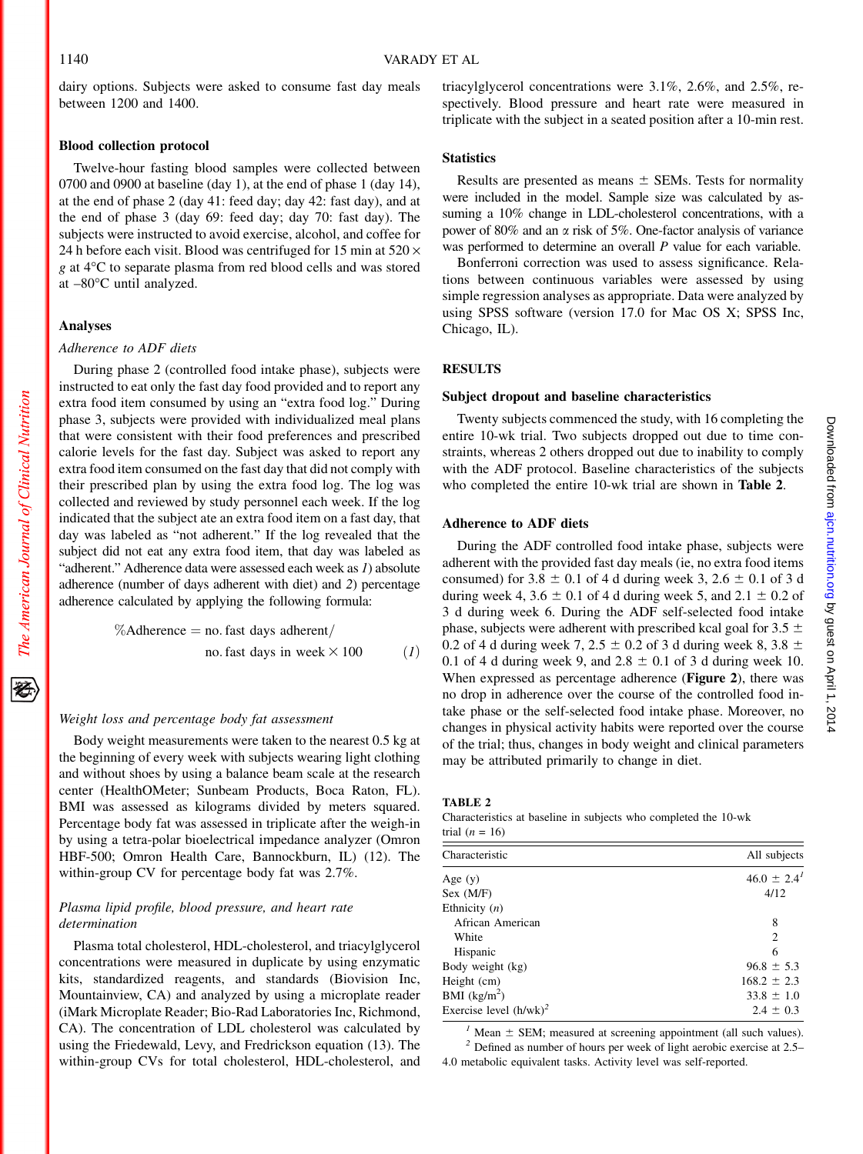1140 VARADY ET AL

dairy options. Subjects were asked to consume fast day meals between 1200 and 1400.

#### Blood collection protocol

Twelve-hour fasting blood samples were collected between 0700 and 0900 at baseline (day 1), at the end of phase 1 (day 14), at the end of phase 2 (day 41: feed day; day 42: fast day), and at the end of phase 3 (day 69: feed day; day 70: fast day). The subjects were instructed to avoid exercise, alcohol, and coffee for 24 h before each visit. Blood was centrifuged for 15 min at  $520 \times$  $g$  at  $4^{\circ}$ C to separate plasma from red blood cells and was stored at  $-80^{\circ}$ C until analyzed.

# Analyses

The American Journal of Clinical Nutrition

豾

# Adherence to ADF diets

During phase 2 (controlled food intake phase), subjects were instructed to eat only the fast day food provided and to report any extra food item consumed by using an "extra food log." During phase 3, subjects were provided with individualized meal plans that were consistent with their food preferences and prescribed calorie levels for the fast day. Subject was asked to report any extra food item consumed on the fast day that did not comply with their prescribed plan by using the extra food log. The log was collected and reviewed by study personnel each week. If the log indicated that the subject ate an extra food item on a fast day, that day was labeled as "not adherent." If the log revealed that the subject did not eat any extra food item, that day was labeled as "adherent." Adherence data were assessed each week as  $I$ ) absolute adherence (number of days adherent with diet) and 2) percentage adherence calculated by applying the following formula:

$$
\% \text{Adherence} = \text{no. fast days adherent} / \text{no. fast days in week} \times 100 \tag{1}
$$

#### Weight loss and percentage body fat assessment

Body weight measurements were taken to the nearest 0.5 kg at the beginning of every week with subjects wearing light clothing and without shoes by using a balance beam scale at the research center (HealthOMeter; Sunbeam Products, Boca Raton, FL). BMI was assessed as kilograms divided by meters squared. Percentage body fat was assessed in triplicate after the weigh-in by using a tetra-polar bioelectrical impedance analyzer (Omron HBF-500; Omron Health Care, Bannockburn, IL) (12). The within-group CV for percentage body fat was 2.7%.

# Plasma lipid profile, blood pressure, and heart rate determination

Plasma total cholesterol, HDL-cholesterol, and triacylglycerol concentrations were measured in duplicate by using enzymatic kits, standardized reagents, and standards (Biovision Inc, Mountainview, CA) and analyzed by using a microplate reader (iMark Microplate Reader; Bio-Rad Laboratories Inc, Richmond, CA). The concentration of LDL cholesterol was calculated by using the Friedewald, Levy, and Fredrickson equation (13). The within-group CVs for total cholesterol, HDL-cholesterol, and triacylglycerol concentrations were 3.1%, 2.6%, and 2.5%, respectively. Blood pressure and heart rate were measured in triplicate with the subject in a seated position after a 10-min rest.

## **Statistics**

Results are presented as means  $\pm$  SEMs. Tests for normality were included in the model. Sample size was calculated by assuming a 10% change in LDL-cholesterol concentrations, with a power of 80% and an  $\alpha$  risk of 5%. One-factor analysis of variance was performed to determine an overall P value for each variable.

Bonferroni correction was used to assess significance. Relations between continuous variables were assessed by using simple regression analyses as appropriate. Data were analyzed by using SPSS software (version 17.0 for Mac OS X; SPSS Inc, Chicago, IL).

# **RESULTS**

#### Subject dropout and baseline characteristics

Twenty subjects commenced the study, with 16 completing the entire 10-wk trial. Two subjects dropped out due to time constraints, whereas 2 others dropped out due to inability to comply with the ADF protocol. Baseline characteristics of the subjects who completed the entire 10-wk trial are shown in Table 2.

## Adherence to ADF diets

During the ADF controlled food intake phase, subjects were adherent with the provided fast day meals (ie, no extra food items consumed) for  $3.8 \pm 0.1$  of 4 d during week 3,  $2.6 \pm 0.1$  of 3 d during week 4,  $3.6 \pm 0.1$  of 4 d during week 5, and  $2.1 \pm 0.2$  of 3 d during week 6. During the ADF self-selected food intake phase, subjects were adherent with prescribed kcal goal for  $3.5 \pm$ 0.2 of 4 d during week 7, 2.5  $\pm$  0.2 of 3 d during week 8, 3.8  $\pm$ 0.1 of 4 d during week 9, and  $2.8 \pm 0.1$  of 3 d during week 10. When expressed as percentage adherence (Figure 2), there was no drop in adherence over the course of the controlled food intake phase or the self-selected food intake phase. Moreover, no changes in physical activity habits were reported over the course of the trial; thus, changes in body weight and clinical parameters may be attributed primarily to change in diet.

## TABLE 2

#### Characteristics at baseline in subjects who completed the 10-wk trial  $(n = 16)$

| Characteristic            | All subjects            |
|---------------------------|-------------------------|
| Age $(y)$                 | $46.0 \pm 2.4^{\prime}$ |
| Sex (M/F)                 | 4/12                    |
| Ethnicity $(n)$           |                         |
| African American          | 8                       |
| White                     | $\overline{c}$          |
| Hispanic                  | 6                       |
| Body weight (kg)          | $96.8 \pm 5.3$          |
| Height (cm)               | $168.2 \pm 2.3$         |
| BMI $(kg/m2)$             | $33.8 \pm 1.0$          |
| Exercise level $(h/wk)^2$ | $2.4 \pm 0.3$           |

<sup>1</sup> Mean  $\pm$  SEM; measured at screening appointment (all such values). <sup>2</sup> Defined as number of hours per week of light aerobic exercise at 2.5– 4.0 metabolic equivalent tasks. Activity level was self-reported.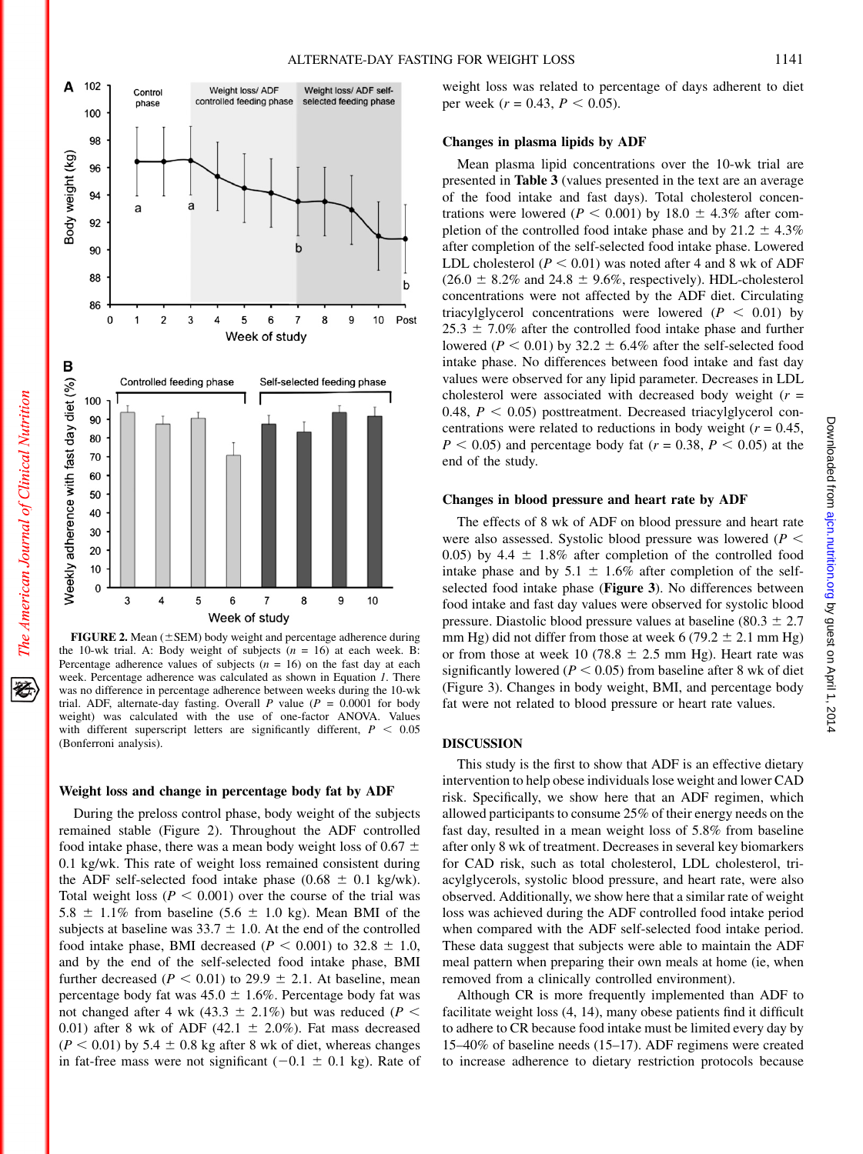犵



FIGURE 2. Mean  $(\pm$  SEM) body weight and percentage adherence during the 10-wk trial. A: Body weight of subjects  $(n = 16)$  at each week. B: Percentage adherence values of subjects  $(n = 16)$  on the fast day at each week. Percentage adherence was calculated as shown in Equation 1. There was no difference in percentage adherence between weeks during the 10-wk trial. ADF, alternate-day fasting. Overall P value ( $P = 0.0001$  for body weight) was calculated with the use of one-factor ANOVA. Values with different superscript letters are significantly different,  $P < 0.05$ (Bonferroni analysis).

#### Weight loss and change in percentage body fat by ADF

During the preloss control phase, body weight of the subjects remained stable (Figure 2). Throughout the ADF controlled food intake phase, there was a mean body weight loss of 0.67  $\pm$ 0.1 kg/wk. This rate of weight loss remained consistent during the ADF self-selected food intake phase (0.68  $\pm$  0.1 kg/wk). Total weight loss ( $P < 0.001$ ) over the course of the trial was 5.8  $\pm$  1.1% from baseline (5.6  $\pm$  1.0 kg). Mean BMI of the subjects at baseline was  $33.7 \pm 1.0$ . At the end of the controlled food intake phase, BMI decreased ( $P < 0.001$ ) to 32.8  $\pm$  1.0, and by the end of the self-selected food intake phase, BMI further decreased ( $P < 0.01$ ) to 29.9  $\pm$  2.1. At baseline, mean percentage body fat was  $45.0 \pm 1.6\%$ . Percentage body fat was not changed after 4 wk (43.3  $\pm$  2.1%) but was reduced (P < 0.01) after 8 wk of ADF (42.1  $\pm$  2.0%). Fat mass decreased  $(P < 0.01)$  by 5.4  $\pm$  0.8 kg after 8 wk of diet, whereas changes in fat-free mass were not significant  $(-0.1 \pm 0.1 \text{ kg})$ . Rate of weight loss was related to percentage of days adherent to diet per week ( $r = 0.43$ ,  $P < 0.05$ ).

## Changes in plasma lipids by ADF

Mean plasma lipid concentrations over the 10-wk trial are presented in Table 3 (values presented in the text are an average of the food intake and fast days). Total cholesterol concentrations were lowered ( $P < 0.001$ ) by 18.0  $\pm$  4.3% after completion of the controlled food intake phase and by  $21.2 \pm 4.3\%$ after completion of the self-selected food intake phase. Lowered LDL cholesterol ( $P < 0.01$ ) was noted after 4 and 8 wk of ADF  $(26.0 \pm 8.2\%$  and  $24.8 \pm 9.6\%$ , respectively). HDL-cholesterol concentrations were not affected by the ADF diet. Circulating triacylglycerol concentrations were lowered ( $P < 0.01$ ) by  $25.3 \pm 7.0\%$  after the controlled food intake phase and further lowered ( $P < 0.01$ ) by 32.2  $\pm$  6.4% after the self-selected food intake phase. No differences between food intake and fast day values were observed for any lipid parameter. Decreases in LDL cholesterol were associated with decreased body weight  $(r =$ 0.48,  $P < 0.05$ ) posttreatment. Decreased triacylglycerol concentrations were related to reductions in body weight ( $r = 0.45$ ,  $P < 0.05$ ) and percentage body fat ( $r = 0.38, P < 0.05$ ) at the end of the study.

## Changes in blood pressure and heart rate by ADF

The effects of 8 wk of ADF on blood pressure and heart rate were also assessed. Systolic blood pressure was lowered ( $P \leq$ 0.05) by 4.4  $\pm$  1.8% after completion of the controlled food intake phase and by 5.1  $\pm$  1.6% after completion of the selfselected food intake phase (Figure 3). No differences between food intake and fast day values were observed for systolic blood pressure. Diastolic blood pressure values at baseline (80.3  $\pm$  2.7 mm Hg) did not differ from those at week 6 (79.2  $\pm$  2.1 mm Hg) or from those at week 10 (78.8  $\pm$  2.5 mm Hg). Heart rate was significantly lowered ( $P < 0.05$ ) from baseline after 8 wk of diet (Figure 3). Changes in body weight, BMI, and percentage body fat were not related to blood pressure or heart rate values.

## DISCUSSION

This study is the first to show that ADF is an effective dietary intervention to help obese individuals lose weight and lower CAD risk. Specifically, we show here that an ADF regimen, which allowed participants to consume 25% of their energy needs on the fast day, resulted in a mean weight loss of 5.8% from baseline after only 8 wk of treatment. Decreases in several key biomarkers for CAD risk, such as total cholesterol, LDL cholesterol, triacylglycerols, systolic blood pressure, and heart rate, were also observed. Additionally, we show here that a similar rate of weight loss was achieved during the ADF controlled food intake period when compared with the ADF self-selected food intake period. These data suggest that subjects were able to maintain the ADF meal pattern when preparing their own meals at home (ie, when removed from a clinically controlled environment).

Although CR is more frequently implemented than ADF to facilitate weight loss (4, 14), many obese patients find it difficult to adhere to CR because food intake must be limited every day by 15–40% of baseline needs (15–17). ADF regimens were created to increase adherence to dietary restriction protocols because by guest on April 1, 2014 [ajcn.nutrition.org](http://ajcn.nutrition.org/) Downloaded from

Downloaded from ajcn.nutrition.org by guest on April 1, 2014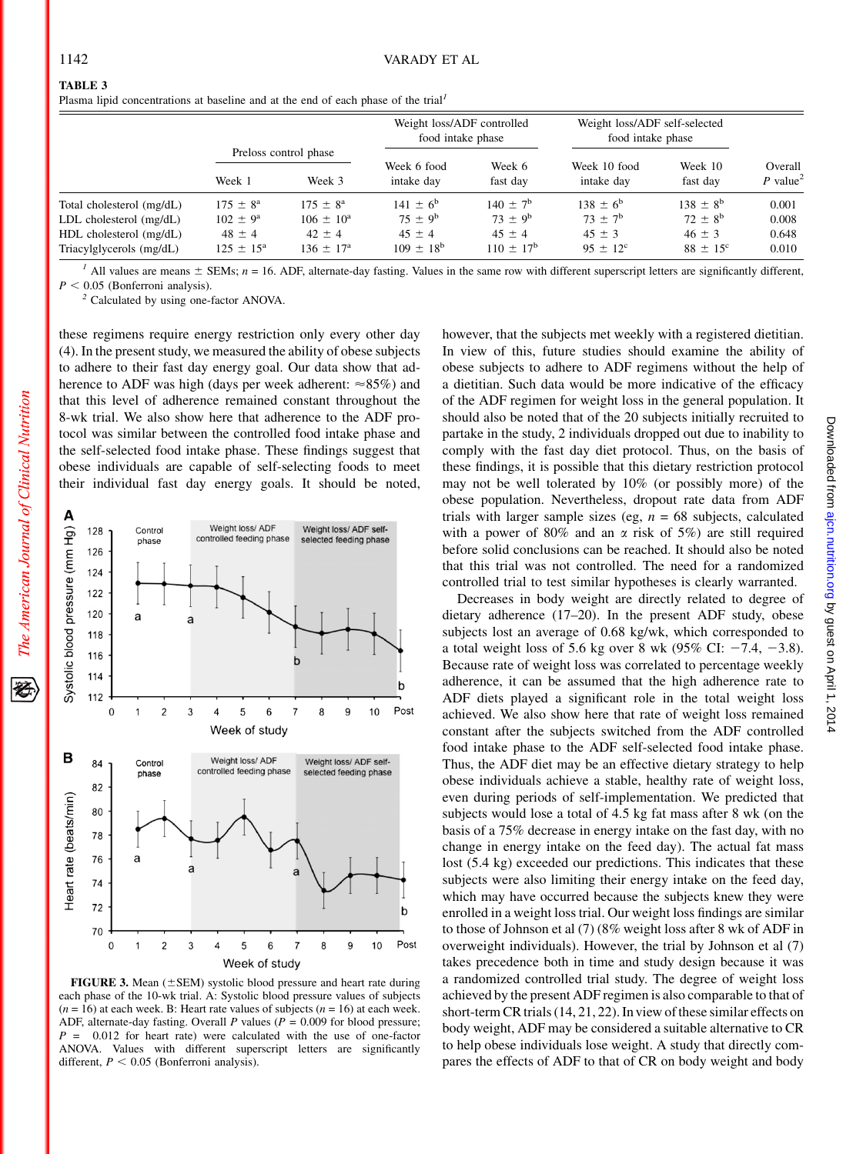The American Journal of Clinical Nutrition

豾

# TABLE 3

| Plasma lipid concentrations at baseline and at the end of each phase of the trial <sup>1</sup> |  |  |  |
|------------------------------------------------------------------------------------------------|--|--|--|
|------------------------------------------------------------------------------------------------|--|--|--|

|                             | Preloss control phase |                      | Weight loss/ADF controlled<br>food intake phase |                      | Weight loss/ADF self-selected<br>food intake phase |                     |                                 |
|-----------------------------|-----------------------|----------------------|-------------------------------------------------|----------------------|----------------------------------------------------|---------------------|---------------------------------|
|                             |                       |                      |                                                 |                      |                                                    |                     |                                 |
|                             | Week 1                | Week 3               | Week 6 food<br>intake day                       | Week 6<br>fast day   | Week 10 food<br>intake day                         | Week 10<br>fast day | Overall<br>P value <sup>2</sup> |
| Total cholesterol (mg/dL)   | $175 \pm 8^{\rm a}$   | $175 \pm 8^{\rm a}$  | $141 \pm 6^b$                                   | $140 \pm 7^{\rm b}$  | $138 + 6^b$                                        | $138 \pm 8^{\rm b}$ | 0.001                           |
| $LDL$ cholesterol $(mg/dL)$ | $102 \pm 9^{\rm a}$   | $106 \pm 10^a$       | $75 + 9^b$                                      | $73 \pm 9^b$         | $73 + 7^b$                                         | $72 + 8^{b}$        | 0.008                           |
| HDL cholesterol (mg/dL)     | $48 \pm 4$            | $42 \pm 4$           | $45 \pm 4$                                      | $45 \pm 4$           | $45 \pm 3$                                         | $46 \pm 3$          | 0.648                           |
| Triacylglycerols (mg/dL)    | $125 \pm 15^{\circ}$  | $136 \pm 17^{\rm a}$ | $109 \pm 18^{b}$                                | $110 \pm 17^{\rm b}$ | $95 \pm 12^{\circ}$                                | $88 \pm 15^{\circ}$ | 0.010                           |

<sup>1</sup> All values are means  $\pm$  SEMs; n = 16. ADF, alternate-day fasting. Values in the same row with different superscript letters are significantly different,  $P < 0.05$  (Bonferroni analysis).

 $2$  Calculated by using one-factor ANOVA.

these regimens require energy restriction only every other day (4). In the present study, we measured the ability of obese subjects to adhere to their fast day energy goal. Our data show that adherence to ADF was high (days per week adherent:  $\approx 85\%$ ) and that this level of adherence remained constant throughout the 8-wk trial. We also show here that adherence to the ADF protocol was similar between the controlled food intake phase and the self-selected food intake phase. These findings suggest that obese individuals are capable of self-selecting foods to meet their individual fast day energy goals. It should be noted,



FIGURE 3. Mean ( $\pm$ SEM) systolic blood pressure and heart rate during each phase of the 10-wk trial. A: Systolic blood pressure values of subjects  $(n = 16)$  at each week. B: Heart rate values of subjects  $(n = 16)$  at each week. ADF, alternate-day fasting. Overall P values ( $P = 0.009$  for blood pressure;  $P = 0.012$  for heart rate) were calculated with the use of one-factor ANOVA. Values with different superscript letters are significantly different,  $P < 0.05$  (Bonferroni analysis).

however, that the subjects met weekly with a registered dietitian. In view of this, future studies should examine the ability of obese subjects to adhere to ADF regimens without the help of a dietitian. Such data would be more indicative of the efficacy of the ADF regimen for weight loss in the general population. It should also be noted that of the 20 subjects initially recruited to partake in the study, 2 individuals dropped out due to inability to comply with the fast day diet protocol. Thus, on the basis of these findings, it is possible that this dietary restriction protocol may not be well tolerated by 10% (or possibly more) of the obese population. Nevertheless, dropout rate data from ADF trials with larger sample sizes (eg,  $n = 68$  subjects, calculated with a power of  $80\%$  and an  $\alpha$  risk of 5%) are still required before solid conclusions can be reached. It should also be noted that this trial was not controlled. The need for a randomized controlled trial to test similar hypotheses is clearly warranted.

Decreases in body weight are directly related to degree of dietary adherence (17–20). In the present ADF study, obese subjects lost an average of 0.68 kg/wk, which corresponded to a total weight loss of 5.6 kg over 8 wk (95% CI:  $-7.4$ ,  $-3.8$ ). Because rate of weight loss was correlated to percentage weekly adherence, it can be assumed that the high adherence rate to ADF diets played a significant role in the total weight loss achieved. We also show here that rate of weight loss remained constant after the subjects switched from the ADF controlled food intake phase to the ADF self-selected food intake phase. Thus, the ADF diet may be an effective dietary strategy to help obese individuals achieve a stable, healthy rate of weight loss, even during periods of self-implementation. We predicted that subjects would lose a total of 4.5 kg fat mass after 8 wk (on the basis of a 75% decrease in energy intake on the fast day, with no change in energy intake on the feed day). The actual fat mass lost (5.4 kg) exceeded our predictions. This indicates that these subjects were also limiting their energy intake on the feed day, which may have occurred because the subjects knew they were enrolled in a weight loss trial. Our weight loss findings are similar to those of Johnson et al (7) (8% weight loss after 8 wk of ADF in overweight individuals). However, the trial by Johnson et al (7) takes precedence both in time and study design because it was a randomized controlled trial study. The degree of weight loss achieved by the present ADF regimen is also comparable to that of short-term CR trials (14, 21, 22). In view of these similar effects on body weight, ADF may be considered a suitable alternative to CR to help obese individuals lose weight. A study that directly compares the effects of ADF to that of CR on body weight and body